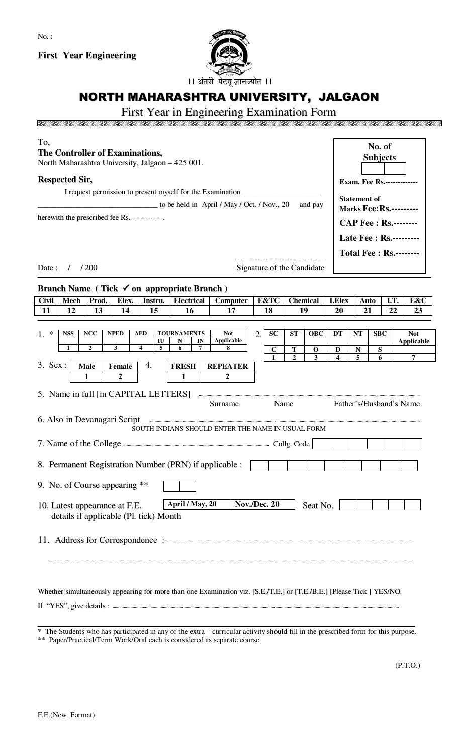**First Year Engineering**



## NORTH MAHARASHTRA UNIVERSITY, JALGAON

## First Year in Engineering Examination Form

| To,<br><b>The Controller of Examinations,</b><br>North Maharashtra University, Jalgaon - 425 001.<br><b>Respected Sir,</b> |                                                   |                                 |                     |                |                 |             |                                                       | No. of<br><b>Subjects</b>         |                               |      |                                 |  |  |
|----------------------------------------------------------------------------------------------------------------------------|---------------------------------------------------|---------------------------------|---------------------|----------------|-----------------|-------------|-------------------------------------------------------|-----------------------------------|-------------------------------|------|---------------------------------|--|--|
|                                                                                                                            |                                                   |                                 |                     |                |                 |             |                                                       | <b>Exam. Fee Rs.-------------</b> |                               |      |                                 |  |  |
| I request permission to present myself for the Examination _____________________                                           |                                                   |                                 |                     |                |                 |             |                                                       |                                   |                               |      |                                 |  |  |
| $\frac{1}{2}$ to be held in April / May / Oct. / Nov., 20<br>and pay                                                       |                                                   |                                 |                     |                |                 |             | <b>Statement of</b><br><b>Marks Fee: Rs.---------</b> |                                   |                               |      |                                 |  |  |
| herewith the prescribed fee Rs.-------------.                                                                              |                                                   |                                 |                     |                |                 |             |                                                       |                                   |                               |      |                                 |  |  |
|                                                                                                                            |                                                   |                                 |                     |                |                 |             |                                                       |                                   | <b>CAP Fee : Rs.--------</b>  |      |                                 |  |  |
|                                                                                                                            |                                                   |                                 |                     |                |                 |             |                                                       | Late Fee : Rs.---------           |                               |      |                                 |  |  |
|                                                                                                                            |                                                   |                                 |                     |                |                 |             |                                                       |                                   | <b>Total Fee: Rs.--------</b> |      |                                 |  |  |
| Date:<br>1/200<br>Signature of the Candidate                                                                               |                                                   |                                 |                     |                |                 |             |                                                       |                                   |                               |      |                                 |  |  |
|                                                                                                                            |                                                   |                                 |                     |                |                 |             |                                                       |                                   |                               |      |                                 |  |  |
| Branch Name (Tick $\checkmark$ on appropriate Branch)                                                                      |                                                   |                                 |                     |                |                 |             |                                                       |                                   |                               |      |                                 |  |  |
| <b>Civil</b><br><b>Mech</b><br>Prod.<br>Instru.<br>Elex.                                                                   | <b>Electrical</b>                                 | Computer                        | <b>E&amp;TC</b>     |                | <b>Chemical</b> |             | <b>I.Elex</b>                                         | Auto                              |                               | I.T. | E&C                             |  |  |
| 11<br>12<br>13<br>14<br>15                                                                                                 | 16                                                | 17                              | 18                  |                | 19              |             | 20                                                    | 21                                |                               | 22   | 23                              |  |  |
|                                                                                                                            |                                                   |                                 |                     |                |                 |             |                                                       |                                   |                               |      |                                 |  |  |
| $1. *$<br><b>NSS</b><br><b>NCC</b><br><b>NPED</b><br><b>AED</b>                                                            | <b>TOURNAMENTS</b><br>IU<br>N<br>IN               | <b>Not</b><br><b>Applicable</b> | $\overline{2}$ .    | <b>SC</b>      | <b>ST</b>       | <b>OBC</b>  | DT                                                    | NT                                | <b>SBC</b>                    |      | <b>Not</b><br><b>Applicable</b> |  |  |
| $\overline{\mathbf{4}}$<br>$\mathbf{2}$<br>$\mathbf{3}$<br>$\mathbf{1}$                                                    | 5<br>6<br>7                                       | 8                               |                     | $\mathbf C$    | Т               | $\mathbf 0$ | D                                                     | N                                 | ${\bf S}$                     |      |                                 |  |  |
| $3.$ Sex :<br>4.<br>Female<br><b>Male</b>                                                                                  | <b>FRESH</b>                                      | <b>REPEATER</b>                 |                     | $\overline{1}$ | $\overline{2}$  | 3           | 4                                                     | 5                                 | 6                             |      | $\overline{7}$                  |  |  |
| $\overline{2}$<br>1                                                                                                        | 1                                                 | $\mathbf{2}$                    |                     |                |                 |             |                                                       |                                   |                               |      |                                 |  |  |
| 5. Name in full [in CAPITAL LETTERS]                                                                                       |                                                   |                                 |                     |                |                 |             |                                                       |                                   |                               |      |                                 |  |  |
|                                                                                                                            |                                                   | Surname                         |                     | Name           |                 |             |                                                       |                                   | Father's/Husband's Name       |      |                                 |  |  |
| 6. Also in Devanagari Script                                                                                               | SOUTH INDIANS SHOULD ENTER THE NAME IN USUAL FORM |                                 |                     |                |                 |             |                                                       |                                   |                               |      |                                 |  |  |
| 7. Name of the College <b>Example 2018</b> Code                                                                            |                                                   |                                 |                     |                |                 |             |                                                       |                                   |                               |      |                                 |  |  |
|                                                                                                                            |                                                   |                                 |                     |                |                 |             |                                                       |                                   |                               |      |                                 |  |  |
| 8. Permanent Registration Number (PRN) if applicable :                                                                     |                                                   |                                 |                     |                |                 |             |                                                       |                                   |                               |      |                                 |  |  |
| 9. No. of Course appearing **                                                                                              |                                                   |                                 |                     |                |                 |             |                                                       |                                   |                               |      |                                 |  |  |
| 10. Latest appearance at F.E.<br>details if applicable (Pl. tick) Month                                                    | April / May, 20                                   |                                 | <b>Nov./Dec. 20</b> |                |                 | Seat No.    |                                                       |                                   |                               |      |                                 |  |  |
| 11. Address for Correspondence :                                                                                           |                                                   |                                 |                     |                |                 |             |                                                       |                                   |                               |      |                                 |  |  |
|                                                                                                                            |                                                   |                                 |                     |                |                 |             |                                                       |                                   |                               |      |                                 |  |  |

Whether simultaneously appearing for more than one Examination viz. [S.E./T.E.] or [T.E./B.E.] [Please Tick ] YES/NO.

If "YES", give details : ...

<u>inaanaanaana</u>

aaaaaa

 $\overline{\phantom{a}}$ 

<sup>\*</sup> The Students who has participated in any of the extra – curricular activity should fill in the prescribed form for this purpose.

<sup>\*\*</sup> Paper/Practical/Term Work/Oral each is considered as separate course.